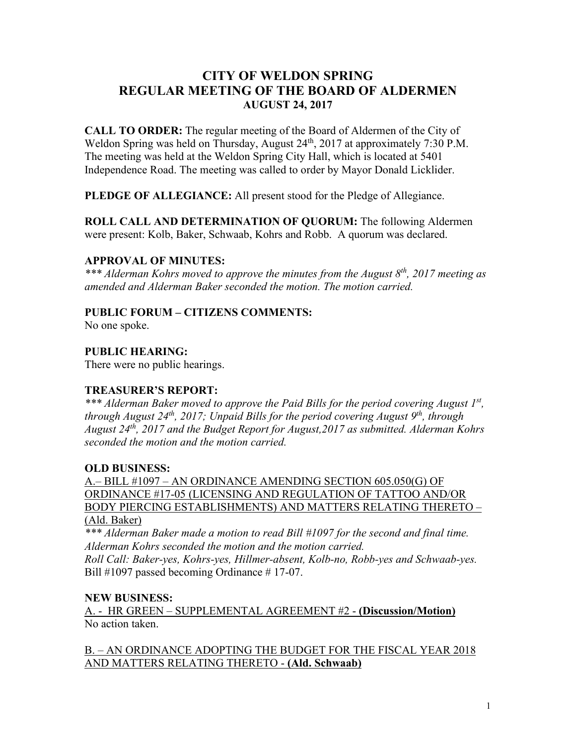# **CITY OF WELDON SPRING REGULAR MEETING OF THE BOARD OF ALDERMEN AUGUST 24, 2017**

**CALL TO ORDER:** The regular meeting of the Board of Aldermen of the City of Weldon Spring was held on Thursday, August 24<sup>th</sup>, 2017 at approximately 7:30 P.M. The meeting was held at the Weldon Spring City Hall, which is located at 5401 Independence Road. The meeting was called to order by Mayor Donald Licklider.

**PLEDGE OF ALLEGIANCE:** All present stood for the Pledge of Allegiance.

**ROLL CALL AND DETERMINATION OF QUORUM:** The following Aldermen were present: Kolb, Baker, Schwaab, Kohrs and Robb. A quorum was declared.

## **APPROVAL OF MINUTES:**

*\*\*\* Alderman Kohrs moved to approve the minutes from the August 8th, 2017 meeting as amended and Alderman Baker seconded the motion. The motion carried.*

## **PUBLIC FORUM – CITIZENS COMMENTS:**

No one spoke.

## **PUBLIC HEARING:**

There were no public hearings.

## **TREASURER'S REPORT:**

*\*\*\* Alderman Baker moved to approve the Paid Bills for the period covering August 1st, through August 24th, 2017; Unpaid Bills for the period covering August 9th, through August 24th, 2017 and the Budget Report for August,2017 as submitted. Alderman Kohrs seconded the motion and the motion carried.*

## **OLD BUSINESS:**

A.– BILL #1097 – AN ORDINANCE AMENDING SECTION 605.050(G) OF ORDINANCE #17-05 (LICENSING AND REGULATION OF TATTOO AND/OR BODY PIERCING ESTABLISHMENTS) AND MATTERS RELATING THERETO –

(Ald. Baker)

*\*\*\* Alderman Baker made a motion to read Bill #1097 for the second and final time. Alderman Kohrs seconded the motion and the motion carried.*

*Roll Call: Baker-yes, Kohrs-yes, Hillmer-absent, Kolb-no, Robb-yes and Schwaab-yes.* Bill #1097 passed becoming Ordinance #17-07.

## **NEW BUSINESS:**

A. - HR GREEN – SUPPLEMENTAL AGREEMENT #2 - **(Discussion/Motion)** No action taken.

B. – AN ORDINANCE ADOPTING THE BUDGET FOR THE FISCAL YEAR 2018 AND MATTERS RELATING THERETO - **(Ald. Schwaab)**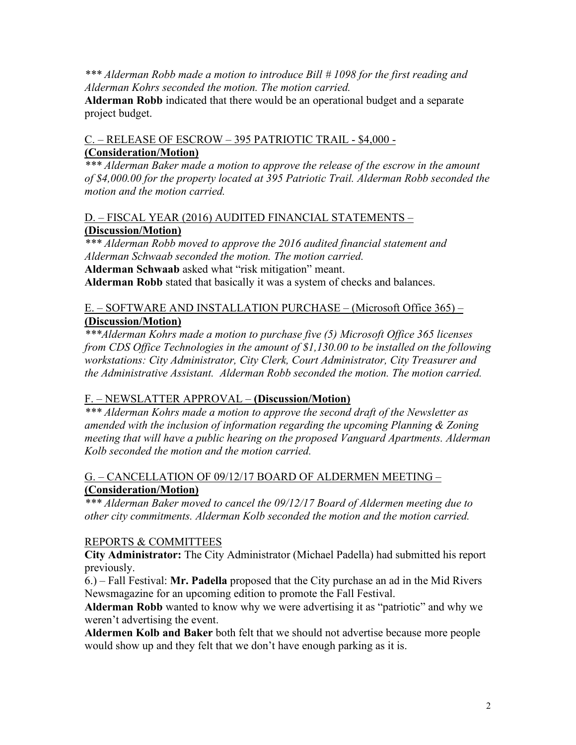*\*\*\* Alderman Robb made a motion to introduce Bill # 1098 for the first reading and Alderman Kohrs seconded the motion. The motion carried.*

**Alderman Robb** indicated that there would be an operational budget and a separate project budget.

# C. – RELEASE OF ESCROW – 395 PATRIOTIC TRAIL - \$4,000 -

# **(Consideration/Motion)**

*\*\*\* Alderman Baker made a motion to approve the release of the escrow in the amount of \$4,000.00 for the property located at 395 Patriotic Trail. Alderman Robb seconded the motion and the motion carried.*

#### D. – FISCAL YEAR (2016) AUDITED FINANCIAL STATEMENTS – **(Discussion/Motion)**

*\*\*\* Alderman Robb moved to approve the 2016 audited financial statement and Alderman Schwaab seconded the motion. The motion carried.* **Alderman Schwaab** asked what "risk mitigation" meant. **Alderman Robb** stated that basically it was a system of checks and balances.

# E. – SOFTWARE AND INSTALLATION PURCHASE – (Microsoft Office 365) – **(Discussion/Motion)**

*\*\*\*Alderman Kohrs made a motion to purchase five (5) Microsoft Office 365 licenses from CDS Office Technologies in the amount of \$1,130.00 to be installed on the following workstations: City Administrator, City Clerk, Court Administrator, City Treasurer and the Administrative Assistant. Alderman Robb seconded the motion. The motion carried.*

# F. – NEWSLATTER APPROVAL – **(Discussion/Motion)**

*\*\*\* Alderman Kohrs made a motion to approve the second draft of the Newsletter as amended with the inclusion of information regarding the upcoming Planning & Zoning meeting that will have a public hearing on the proposed Vanguard Apartments. Alderman Kolb seconded the motion and the motion carried.*

# G. – CANCELLATION OF 09/12/17 BOARD OF ALDERMEN MEETING – **(Consideration/Motion)**

*\*\*\* Alderman Baker moved to cancel the 09/12/17 Board of Aldermen meeting due to other city commitments. Alderman Kolb seconded the motion and the motion carried.*

## REPORTS & COMMITTEES

**City Administrator:** The City Administrator (Michael Padella) had submitted his report previously.

6.) – Fall Festival: **Mr. Padella** proposed that the City purchase an ad in the Mid Rivers Newsmagazine for an upcoming edition to promote the Fall Festival.

**Alderman Robb** wanted to know why we were advertising it as "patriotic" and why we weren't advertising the event.

**Aldermen Kolb and Baker** both felt that we should not advertise because more people would show up and they felt that we don't have enough parking as it is.